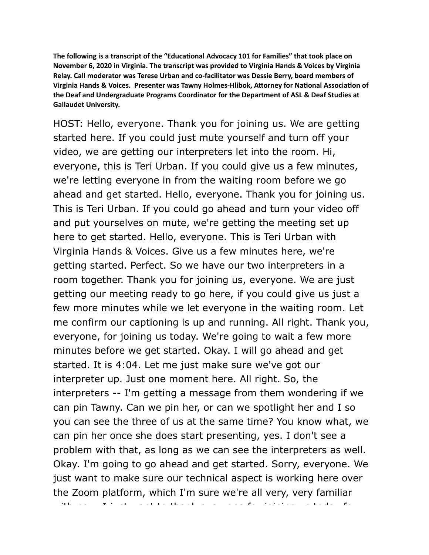The following is a transcript of the "Educational Advocacy 101 for Families" that took place on **November 6, 2020 in Virginia. The transcript was provided to Virginia Hands & Voices by Virginia Relay. Call moderator was Terese Urban and co-facilitator was Dessie Berry, board members of**  Virginia Hands & Voices. Presenter was Tawny Holmes-Hlibok, Attorney for National Association of **the Deaf and Undergraduate Programs Coordinator for the Department of ASL & Deaf Studies at Gallaudet University.** 

HOST: Hello, everyone. Thank you for joining us. We are getting started here. If you could just mute yourself and turn off your video, we are getting our interpreters let into the room. Hi, everyone, this is Teri Urban. If you could give us a few minutes, we're letting everyone in from the waiting room before we go ahead and get started. Hello, everyone. Thank you for joining us. This is Teri Urban. If you could go ahead and turn your video off and put yourselves on mute, we're getting the meeting set up here to get started. Hello, everyone. This is Teri Urban with Virginia Hands & Voices. Give us a few minutes here, we're getting started. Perfect. So we have our two interpreters in a room together. Thank you for joining us, everyone. We are just getting our meeting ready to go here, if you could give us just a few more minutes while we let everyone in the waiting room. Let me confirm our captioning is up and running. All right. Thank you, everyone, for joining us today. We're going to wait a few more minutes before we get started. Okay. I will go ahead and get started. It is 4:04. Let me just make sure we've got our interpreter up. Just one moment here. All right. So, the interpreters -- I'm getting a message from them wondering if we can pin Tawny. Can we pin her, or can we spotlight her and I so you can see the three of us at the same time? You know what, we can pin her once she does start presenting, yes. I don't see a problem with that, as long as we can see the interpreters as well. Okay. I'm going to go ahead and get started. Sorry, everyone. We just want to make sure our technical aspect is working here over the Zoom platform, which I'm sure we're all very, very familiar

with now interesting want to the form of  $\alpha$  in  $\alpha$  in  $\alpha$  is to thank every one for  $\alpha$